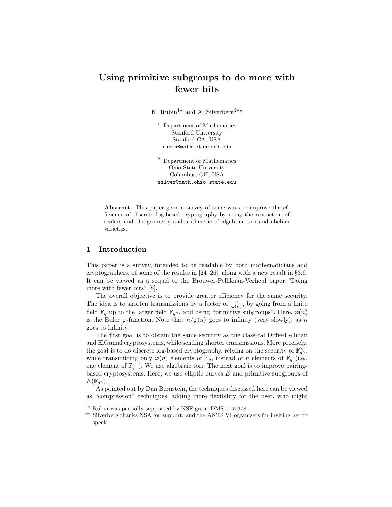# Using primitive subgroups to do more with fewer bits

K. Rubin<sup>1\*</sup> and A. Silverberg<sup>2\*\*</sup>

<sup>1</sup> Department of Mathematics Stanford University Stanford CA, USA rubin@math.stanford.edu

<sup>2</sup> Department of Mathematics Ohio State University Columbus, OH, USA silver@math.ohio-state.edu

Abstract. This paper gives a survey of some ways to improve the efficiency of discrete log-based cryptography by using the restriction of scalars and the geometry and arithmetic of algebraic tori and abelian varieties.

# 1 Introduction

This paper is a survey, intended to be readable by both mathematicians and cryptographers, of some of the results in  $[24–26]$ , along with a new result in  $\S 3.6$ . It can be viewed as a sequel to the Brouwer-Pellikaan-Verheul paper "Doing more with fewer bits" [8].

The overall objective is to provide greater efficiency for the same security. The idea is to shorten transmissions by a factor of  $\frac{n}{\varphi(n)}$ , by going from a finite field  $\mathbb{F}_q$  up to the larger field  $\mathbb{F}_{q^n}$ , and using "primitive subgroups". Here,  $\varphi(n)$ is the Euler  $\varphi$ -function. Note that  $n/\varphi(n)$  goes to infinity (very slowly), as n goes to infinity.

The first goal is to obtain the same security as the classical Diffie-Hellman and ElGamal cryptosystems, while sending shorter transmissions. More precisely, the goal is to do discrete log-based cryptography, relying on the security of  $\mathbb{F}_{q^n}^{\times}$ , while transmitting only  $\varphi(n)$  elements of  $\mathbb{F}_q$ , instead of n elements of  $\mathbb{F}_q$  (i.e., one element of  $\mathbb{F}_{q^n}$ ). We use algebraic tori. The next goal is to improve pairingbased cryptosystems. Here, we use elliptic curves  $E$  and primitive subgroups of  $E(\mathbb{F}_{q^n}).$ 

As pointed out by Dan Bernstein, the techniques discussed here can be viewed as "compression" techniques, adding more flexibility for the user, who might

 $^{\star}$  Rubin was partially supported by NSF grant DMS-0140378.

<sup>\*\*</sup> Silverberg thanks NSA for support, and the ANTS VI organizers for inviting her to speak.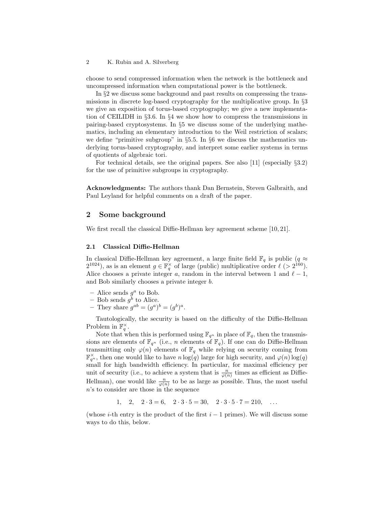choose to send compressed information when the network is the bottleneck and uncompressed information when computational power is the bottleneck.

In §2 we discuss some background and past results on compressing the transmissions in discrete log-based cryptography for the multiplicative group. In §3 we give an exposition of torus-based cryptography; we give a new implementation of CEILIDH in §3.6. In §4 we show how to compress the transmissions in pairing-based cryptosystems. In §5 we discuss some of the underlying mathematics, including an elementary introduction to the Weil restriction of scalars; we define "primitive subgroup" in  $\S 5.5$ . In  $\S 6$  we discuss the mathematics underlying torus-based cryptography, and interpret some earlier systems in terms of quotients of algebraic tori.

For technical details, see the original papers. See also [11] (especially  $\S 3.2$ ) for the use of primitive subgroups in cryptography.

Acknowledgments: The authors thank Dan Bernstein, Steven Galbraith, and Paul Leyland for helpful comments on a draft of the paper.

# 2 Some background

We first recall the classical Diffie-Hellman key agreement scheme [10, 21].

### 2.1 Classical Diffie-Hellman

In classical Diffie-Hellman key agreement, a large finite field  $\mathbb{F}_q$  is public  $(q\approx$  $2^{1024}$ ), as is an element  $g \in \mathbb{F}_q^{\times}$  of large (public) multiplicative order  $\ell$  (>  $2^{160}$ ). Alice chooses a private integer a, random in the interval between 1 and  $\ell - 1$ , and Bob similarly chooses a private integer b.

- Alice sends  $g^a$  to Bob.
- Bob sends  $g^b$  to Alice.
- They share  $g^{ab} = (g^a)^b = (g^b)^a$ .

Tautologically, the security is based on the difficulty of the Diffie-Hellman Problem in  $\mathbb{F}_q^{\times}$ .

Note that when this is performed using  $\mathbb{F}_{q^n}$  in place of  $\mathbb{F}_q$ , then the transmissions are elements of  $\mathbb{F}_{q^n}$  (i.e., *n* elements of  $\mathbb{F}_q$ ). If one can do Diffie-Hellman transmitting only  $\varphi(n)$  elements of  $\mathbb{F}_q$  while relying on security coming from  $\mathbb{F}_{q^n}^{\times}$ , then one would like to have  $n \log(q)$  large for high security, and  $\varphi(n) \log(q)$ small for high bandwidth efficiency. In particular, for maximal efficiency per unit of security (i.e., to achieve a system that is  $\frac{n}{\varphi(n)}$  times as efficient as Diffie-Hellman), one would like  $\frac{n}{\varphi(n)}$  to be as large as possible. Thus, the most useful n's to consider are those in the sequence

1, 2,  $2 \cdot 3 = 6$ ,  $2 \cdot 3 \cdot 5 = 30$ ,  $2 \cdot 3 \cdot 5 \cdot 7 = 210$ , ...

(whose *i*-th entry is the product of the first  $i - 1$  primes). We will discuss some ways to do this, below.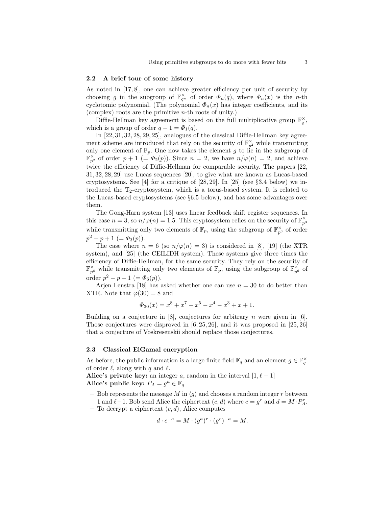#### 2.2 A brief tour of some history

As noted in [17, 8], one can achieve greater efficiency per unit of security by choosing g in the subgroup of  $\mathbb{F}_{q^n}^{\times}$  of order  $\Phi_n(q)$ , where  $\Phi_n(x)$  is the n-th cyclotomic polynomial. (The polynomial  $\Phi_n(x)$  has integer coefficients, and its (complex) roots are the primitive n-th roots of unity.)

Diffie-Hellman key agreement is based on the full multiplicative group  $\mathbb{F}_q^{\times}$ , which is a group of order  $q - 1 = \Phi_1(q)$ .

In [22, 31, 32, 28, 29, 25], analogues of the classical Diffie-Hellman key agreement scheme are introduced that rely on the security of  $\mathbb{F}_{p^2}^{\times}$  while transmitting only one element of  $\mathbb{F}_p$ . One now takes the element g to lie in the subgroup of  $\mathbb{F}_{p^2}^{\times}$  of order  $p+1$  (=  $\Phi_2(p)$ ). Since  $n=2$ , we have  $n/\varphi(n)=2$ , and achieve twice the efficiency of Diffie-Hellman for comparable security. The papers [22, 31, 32, 28, 29] use Lucas sequences [20], to give what are known as Lucas-based cryptosystems. See [4] for a critique of [28, 29]. In [25] (see §3.4 below) we introduced the  $T_2$ -cryptosystem, which is a torus-based system. It is related to the Lucas-based cryptosystems (see §6.5 below), and has some advantages over them.

The Gong-Harn system [13] uses linear feedback shift register sequences. In this case  $n = 3$ , so  $n/\varphi(n) = 1.5$ . This cryptosystem relies on the security of  $\mathbb{F}_{p^3}^{\times}$ while transmitting only two elements of  $\mathbb{F}_p$ , using the subgroup of  $\mathbb{F}_{p^3}^{\times}$  of order  $p^2 + p + 1 \ (= \Phi_3(p)).$ 

The case where  $n = 6$  (so  $n/\varphi(n) = 3$ ) is considered in [8], [19] (the XTR system), and [25] (the CEILIDH system). These systems give three times the efficiency of Diffie-Hellman, for the same security. They rely on the security of  $\mathbb{F}_{p^6}^{\times}$  while transmitting only two elements of  $\mathbb{F}_p$ , using the subgroup of  $\mathbb{F}_{p^6}^{\times}$  of order  $p^2 - p + 1$  (=  $\Phi_6(p)$ ).

Arjen Lenstra [18] has asked whether one can use  $n = 30$  to do better than XTR. Note that  $\varphi(30) = 8$  and

$$
\Phi_{30}(x) = x^8 + x^7 - x^5 - x^4 - x^3 + x + 1.
$$

Building on a conjecture in  $[8]$ , conjectures for arbitrary *n* were given in  $[6]$ . Those conjectures were disproved in  $[6, 25, 26]$ , and it was proposed in  $[25, 26]$ that a conjecture of Voskresenskii should replace those conjectures.

#### 2.3 Classical ElGamal encryption

As before, the public information is a large finite field  $\mathbb{F}_q$  and an element  $g \in \mathbb{F}_q^{\times}$ of order  $\ell$ , along with q and  $\ell$ .

Alice's private key: an integer a, random in the interval  $[1, \ell - 1]$ Alice's public key:  $P_A = g^a \in \mathbb{F}_q$ 

- Bob represents the message M in  $\langle g \rangle$  and chooses a random integer r between 1 and  $\ell$ −1. Bob send Alice the ciphertext  $(c, d)$  where  $c = g^r$  and  $d = M \cdot P_A^r$ .
- To decrypt a ciphertext  $(c, d)$ , Alice computes

$$
d \cdot c^{-a} = M \cdot (g^a)^r \cdot (g^r)^{-a} = M.
$$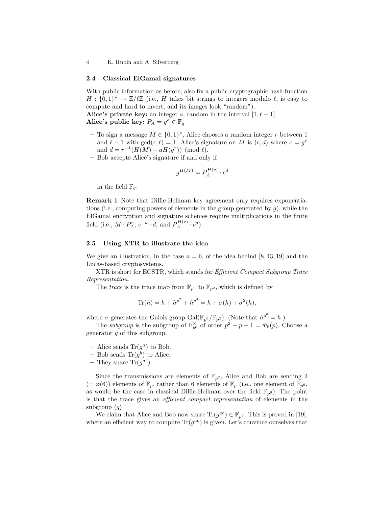### 2.4 Classical ElGamal signatures

With public information as before, also fix a public cryptographic hash function  $H: \{0,1\}^* \to \mathbb{Z}/\ell\mathbb{Z}$  (i.e., H takes bit strings to integers modulo  $\ell$ , is easy to compute and hard to invert, and its images look "random").

Alice's private key: an integer a, random in the interval  $[1, \ell - 1]$ Alice's public key:  $P_A = g^a \in \mathbb{F}_q$ 

- To sign a message  $M \in \{0,1\}^*$ , Alice chooses a random integer r between 1 and  $\ell - 1$  with  $gcd(r, \ell) = 1$ . Alice's signature on M is  $(c, d)$  where  $c = g^r$ and  $d = r^{-1}(H(M) - aH(g^r)) \pmod{l}$ .
- Bob accepts Alice's signature if and only if

$$
g^{H(M)} = P_A^{H(c)} \cdot c^d
$$

in the field  $\mathbb{F}_q$ .

Remark 1 Note that Diffie-Hellman key agreement only requires exponentiations (i.e., computing powers of elements in the group generated by  $g$ ), while the ElGamal encryption and signature schemes require multiplications in the finite field (i.e.,  $M \cdot P_A^r$ ,  $c^{-a} \cdot d$ , and  $P_A^{H(c)} \cdot c^d$ ).

# 2.5 Using XTR to illustrate the idea

We give an illustration, in the case  $n = 6$ , of the idea behind [8, 13, 19] and the Lucas-based cryptosystems.

XTR is short for ECSTR, which stands for Efficient Compact Subgroup Trace Representation.

The trace is the trace map from  $\mathbb{F}_{p^6}$  to  $\mathbb{F}_{p^2}$ , which is defined by

$$
Tr(h) = h + h^{p^2} + h^{p^4} = h + \sigma(h) + \sigma^2(h),
$$

where  $\sigma$  generates the Galois group  $Gal(\mathbb{F}_{p^6}/\mathbb{F}_{p^2})$ . (Note that  $h^{p^6} = h$ .)

The *subgroup* is the subgroup of  $\mathbb{F}_{p^6}^{\times}$  of order  $p^2 - p + 1 = \Phi_6(p)$ . Choose a generator  $q$  of this subgroup.

- Alice sends  $\text{Tr}(g^a)$  to Bob.
- Bob sends  $\text{Tr}(g^b)$  to Alice.
- They share Tr $(g^{ab})$ .

Since the transmissions are elements of  $\mathbb{F}_{p^2}$ , Alice and Bob are sending 2  $(=\varphi(6))$  elements of  $\mathbb{F}_p$ , rather than 6 elements of  $\mathbb{F}_p$  (i.e., one element of  $\mathbb{F}_{p^6}$ , as would be the case in classical Diffie-Hellman over the field  $\mathbb{F}_{p^6}$ ). The point is that the trace gives an efficient compact representation of elements in the subgroup  $\langle q \rangle$ .

We claim that Alice and Bob now share  $\text{Tr}(g^{ab}) \in \mathbb{F}_{p^2}$ . This is proved in [19], where an efficient way to compute  $\text{Tr}(g^{ab})$  is given. Let's convince ourselves that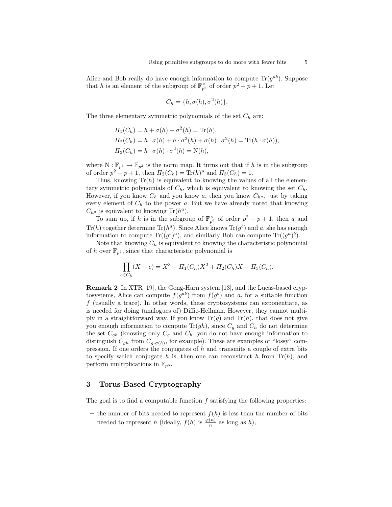Alice and Bob really do have enough information to compute  $\text{Tr}(g^{ab})$ . Suppose that h is an element of the subgroup of  $\mathbb{F}_{p^6}^{\times}$  of order  $p^2 - p + 1$ . Let

$$
C_h = \{h, \sigma(h), \sigma^2(h)\}.
$$

The three elementary symmetric polynomials of the set  $C_h$  are:

$$
\Pi_1(C_h) = h + \sigma(h) + \sigma^2(h) = \text{Tr}(h),
$$
  
\n
$$
\Pi_2(C_h) = h \cdot \sigma(h) + h \cdot \sigma^2(h) + \sigma(h) \cdot \sigma^2(h) = \text{Tr}(h \cdot \sigma(h)),
$$
  
\n
$$
\Pi_3(C_h) = h \cdot \sigma(h) \cdot \sigma^2(h) = \text{N}(h),
$$

where  $N : \mathbb{F}_{p^6} \to \mathbb{F}_{p^2}$  is the norm map. It turns out that if h is in the subgroup of order  $p^2 - p + 1$ , then  $\Pi_2(C_h) = \text{Tr}(h)^p$  and  $\Pi_3(C_h) = 1$ .

Thus, knowing  $Tr(h)$  is equivalent to knowing the values of all the elementary symmetric polynomials of  $C_h$ , which is equivalent to knowing the set  $C_h$ . However, if you know  $C_h$  and you know a, then you know  $C_{h^a}$ , just by taking every element of  $C_h$  to the power a. But we have already noted that knowing  $C_{h^a}$  is equivalent to knowing Tr( $h^a$ ).

To sum up, if h is in the subgroup of  $\mathbb{F}_{p^6}^{\times}$  of order  $p^2 - p + 1$ , then a and Tr(h) together determine  $\text{Tr}(h^a)$ . Since Alice knows  $\text{Tr}(g^b)$  and a, she has enough information to compute  $\text{Tr}((g^b)^a)$ , and similarly Bob can compute  $\text{Tr}((g^a)^b)$ .

Note that knowing  $C_h$  is equivalent to knowing the characteristic polynomial of h over  $\mathbb{F}_{p^2}$ , since that characteristic polynomial is

$$
\prod_{c \in C_h} (X - c) = X^3 - \Pi_1(C_h)X^2 + \Pi_2(C_h)X - \Pi_3(C_h).
$$

Remark 2 In XTR [19], the Gong-Harn system [13], and the Lucas-based cryptosystems, Alice can compute  $f(g^{ab})$  from  $f(g^b)$  and a, for a suitable function  $f$  (usually a trace). In other words, these cryptosystems can exponentiate, as is needed for doing (analogues of) Diffie-Hellman. However, they cannot multiply in a straightforward way. If you know  $\text{Tr}(g)$  and  $\text{Tr}(h)$ , that does not give you enough information to compute  $\text{Tr}(gh)$ , since  $C_g$  and  $C_h$  do not determine the set  $C_{gh}$  (knowing only  $C_g$  and  $C_h$ , you do not have enough information to distinguish  $C_{gh}$  from  $C_{g \cdot \sigma(h)}$ , for example). These are examples of "lossy" compression. If one orders the conjugates of  $h$  and transmits a couple of extra bits to specify which conjugate h is, then one can reconstruct h from  $\text{Tr}(h)$ , and perform multiplications in  $\mathbb{F}_{p^6}$ .

# 3 Torus-Based Cryptography

The goal is to find a computable function  $f$  satisfying the following properties:

– the number of bits needed to represent  $f(h)$  is less than the number of bits needed to represent h (ideally,  $f(h)$  is  $\frac{\varphi(n)}{n}$  as long as h),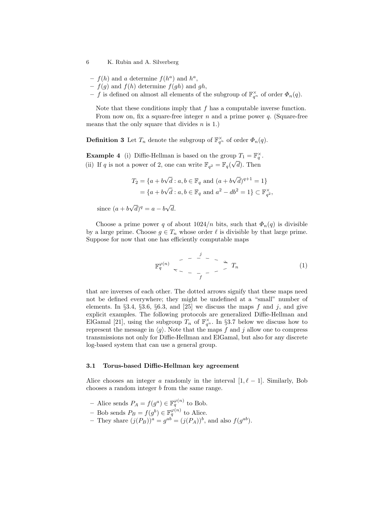- 6 K. Rubin and A. Silverberg
	- $f(h)$  and a determine  $f(h^a)$  and  $h^a$ ,
	- $f(g)$  and  $f(h)$  determine  $f(gh)$  and  $gh$ ,
	- f is defined on almost all elements of the subgroup of  $\mathbb{F}_{q^n}^{\times}$  of order  $\Phi_n(q)$ .

Note that these conditions imply that  $f$  has a computable inverse function.

From now on, fix a square-free integer  $n$  and a prime power  $q$ . (Square-free means that the only square that divides  $n$  is 1.)

**Definition 3** Let  $T_n$  denote the subgroup of  $\mathbb{F}_{q^n}^{\times}$  of order  $\Phi_n(q)$ .

**Example 4** (i) Diffie-Hellman is based on the group  $T_1 = \mathbb{F}_q^{\times}$ . (ii) If q is not a power of 2, one can write  $\mathbb{F}_{q^2} = \mathbb{F}_q(\sqrt{d})$ . Then

$$
T_2 = \{a + b\sqrt{d} : a, b \in \mathbb{F}_q \text{ and } (a + b\sqrt{d})^{q+1} = 1\}
$$
  
=  $\{a + b\sqrt{d} : a, b \in \mathbb{F}_q \text{ and } a^2 - db^2 = 1\} \subset \mathbb{F}_{q^2}^{\times}$ ,

since  $(a + b)$ √  $\overline{d})^q = a - b\sqrt{q}$ d.

Choose a prime power q of about  $1024/n$  bits, such that  $\Phi_n(q)$  is divisible by a large prime. Choose  $g \in T_n$  whose order  $\ell$  is divisible by that large prime. Suppose for now that one has efficiently computable maps

$$
\mathbb{F}_q^{\varphi(n)} \sim - \frac{1}{f} - \frac{1}{f} \rightarrow T_n \tag{1}
$$

that are inverses of each other. The dotted arrows signify that these maps need not be defined everywhere; they might be undefined at a "small" number of elements. In  $\S 3.4$ ,  $\S 3.6$ ,  $\S 6.3$ , and  $\S 25$  we discuss the maps f and j, and give explicit examples. The following protocols are generalized Diffie-Hellman and ElGamal [21], using the subgroup  $T_n$  of  $\mathbb{F}_{q^n}^{\times}$ . In §3.7 below we discuss how to represent the message in  $\langle g \rangle$ . Note that the maps f and j allow one to compress transmissions not only for Diffie-Hellman and ElGamal, but also for any discrete log-based system that can use a general group.

#### 3.1 Torus-based Diffie-Hellman key agreement

Alice chooses an integer a randomly in the interval  $[1, \ell - 1]$ . Similarly, Bob chooses a random integer b from the same range.

- Alice sends  $P_A = f(g^a) \in \mathbb{F}_q^{\varphi(n)}$  to Bob.
- Bob sends  $P_B = f(g^b) \in \mathbb{F}_q^{\varphi(n)}$  to Alice.
- They share  $(j(P_B))^a = g^{ab} = (j(P_A))^b$ , and also  $f(g^{ab})$ .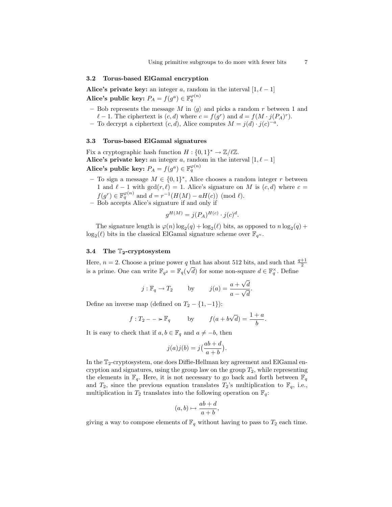### 3.2 Torus-based ElGamal encryption

Alice's private key: an integer a, random in the interval  $[1, \ell - 1]$ Alice's public key:  $P_A = f(g^a) \in \mathbb{F}_q^{\varphi(n)}$ 

- Bob represents the message M in  $\langle g \rangle$  and picks a random r between 1 and  $\ell - 1$ . The ciphertext is  $(c, d)$  where  $c = f(g^r)$  and  $d = f(M \cdot j(P_A)^r)$ .
- To decrypt a ciphertext  $(c, d)$ , Alice computes  $M = j(d) \cdot j(c)^{-a}$ .

# 3.3 Torus-based ElGamal signatures

Fix a cryptographic hash function  $H: \{0,1\}^* \to \mathbb{Z}/\ell\mathbb{Z}$ . Alice's private key: an integer a, random in the interval  $[1, \ell - 1]$ Alice's public key:  $P_A = f(g^a) \in \mathbb{F}_q^{\varphi(n)}$ 

- To sign a message  $M \in \{0,1\}^*$ , Alice chooses a random integer r between 1 and  $\ell - 1$  with  $gcd(r, \ell) = 1$ . Alice's signature on M is  $(c, d)$  where  $c =$  $f(g^r) \in \mathbb{F}_q^{\varphi(n)}$  and  $d = r^{-1}(H(M) - aH(c)) \pmod{l}$ .
- Bob accepts Alice's signature if and only if

$$
g^{H(M)} = j(P_A)^{H(c)} \cdot j(c)^d.
$$

The signature length is  $\varphi(n) \log_2(q) + \log_2(\ell)$  bits, as opposed to  $n \log_2(q)$  +  $\log_2(\ell)$  bits in the classical ElGamal signature scheme over  $\mathbb{F}_{q^n}$ .

### 3.4 The  $T_2$ -cryptosystem

Here,  $n = 2$ . Choose a prime power q that has about 512 bits, and such that  $\frac{q+1}{2}$ is a prime. One can write  $\mathbb{F}_{q^2} = \mathbb{F}_q(\sqrt{d})$  for some non-square  $d \in \mathbb{F}_q^{\times}$ . Define

$$
j: \mathbb{F}_q \to T_2
$$
 by  $j(a) = \frac{a + \sqrt{d}}{a - \sqrt{d}}$ .

Define an inverse map (defined on  $T_2 - \{1, -1\}$ ):

$$
f: T_2 - \rightarrow \mathbb{F}_q
$$
 by  $f(a + b\sqrt{d}) = \frac{1 + a}{b}$ .

It is easy to check that if  $a, b \in \mathbb{F}_q$  and  $a \neq -b$ , then

$$
j(a)j(b) = j\left(\frac{ab+d}{a+b}\right).
$$

In the  $\mathbb{T}_2$ -cryptosystem, one does Diffie-Hellman key agreement and ElGamal encryption and signatures, using the group law on the group  $T_2$ , while representing the elements in  $\mathbb{F}_q$ . Here, it is not necessary to go back and forth between  $\mathbb{F}_q$ and  $T_2$ , since the previous equation translates  $T_2$ 's multiplication to  $\mathbb{F}_q$ , i.e., multiplication in  $T_2$  translates into the following operation on  $\mathbb{F}_q$ :

$$
(a,b)\mapsto \frac{ab+d}{a+b},
$$

giving a way to compose elements of  $\mathbb{F}_q$  without having to pass to  $T_2$  each time.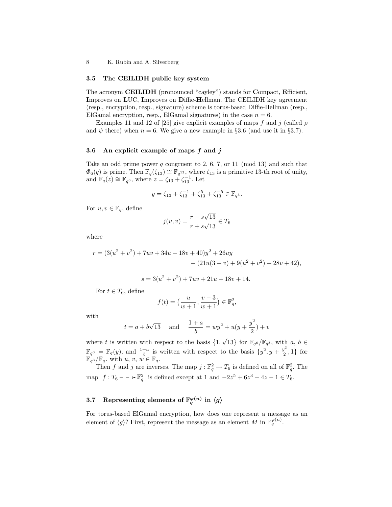### 3.5 The CEILIDH public key system

The acronym CEILIDH (pronounced "cayley") stands for Compact, Efficient, Improves on LUC, Improves on Diffie-Hellman. The CEILIDH key agreement (resp., encryption, resp., signature) scheme is torus-based Diffie-Hellman (resp., ElGamal encryption, resp., ElGamal signatures) in the case  $n = 6$ .

Examples 11 and 12 of [25] give explicit examples of maps f and j (called  $\rho$ and  $\psi$  there) when  $n = 6$ . We give a new example in §3.6 (and use it in §3.7).

# 3.6 An explicit example of maps  $f$  and  $j$

Take an odd prime power q congruent to 2, 6, 7, or 11 (mod 13) and such that  $\Phi_6(q)$  is prime. Then  $\mathbb{F}_q(\zeta_{13}) \cong \mathbb{F}_{q^{12}}$ , where  $\zeta_{13}$  is a primitive 13-th root of unity, and  $\mathbb{F}_q(z) \cong \mathbb{F}_{q^6}$ , where  $z = \zeta_{13} + \zeta_{13}^{-1}$ . Let

$$
y = \zeta_{13} + \zeta_{13}^{-1} + \zeta_{13}^5 + \zeta_{13}^{-5} \in \mathbb{F}_{q^3}.
$$

For  $u, v \in \mathbb{F}_q$ , define

$$
j(u, v) = \frac{r - s\sqrt{13}}{r + s\sqrt{13}} \in T_6
$$

where

$$
r = (3(u2 + v2) + 7uv + 34u + 18v + 40)y2 + 26uy - (21u(3 + v) + 9(u2 + v2) + 28v + 42),
$$

$$
s = 3(u^2 + v^2) + 7uv + 21u + 18v + 14.
$$

For  $t \in T_6$ , define

$$
f(t) = \left(\frac{u}{w+1}, \frac{v-3}{w+1}\right) \in \mathbb{F}_q^2,
$$

with

$$
t = a + b\sqrt{13}
$$
 and  $\frac{1+a}{b} = wy^2 + u(y + \frac{y^2}{2}) + v$ 

where t is written with respect to the basis  $\{1,$  $\sqrt{13}$ } for  $\mathbb{F}_{q^6}/\mathbb{F}_{q^3}$ , with  $a, b \in$  $\mathbb{F}_{q^3} = \mathbb{F}_q(y)$ , and  $\frac{1+a}{b}$  is written with respect to the basis  $\{y^2, y + \frac{y^2}{2}\}$  $\{\frac{\sqrt{2}}{2}, 1\}$  for  $\mathbb{F}_{q^3}/\mathbb{F}_q$ , with  $u, v, w \in \mathbb{F}_q$ .

Then f and j are inverses. The map  $j : \mathbb{F}_q^2 \to T_6$  is defined on all of  $\mathbb{F}_q^2$ . The map  $f: T_6 - \to \mathbb{F}_q^2$  is defined except at 1 and  $-2z^5 + 6z^3 - 4z - 1 \in T_6$ .

# 3.7 Representing elements of  $\mathbb{F}_q^{\varphi(n)}$  in  $\langle g \rangle$

For torus-based ElGamal encryption, how does one represent a message as an element of  $\langle g \rangle$ ? First, represent the message as an element M in  $\mathbb{F}_q^{\varphi(n)}$ .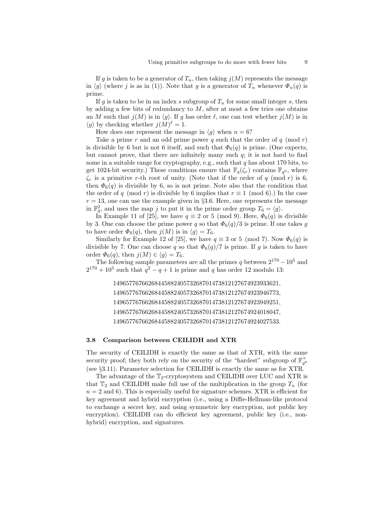If g is taken to be a generator of  $T_n$ , then taking  $j(M)$  represents the message in  $\langle g \rangle$  (where j is as in (1)). Note that g is a generator of  $T_n$  whenever  $\Phi_n(q)$  is prime.

If g is taken to be in an index s subgroup of  $T_n$  for some small integer s, then by adding a few bits of redundancy to  $M$ , after at most a few tries one obtains an M such that  $j(M)$  is in  $\langle g \rangle$ . If g has order  $\ell$ , one can test whether  $j(M)$  is in  $\langle g \rangle$  by checking whether  $j(M)^\ell = 1$ .

How does one represent the message in  $\langle q \rangle$  when  $n = 6$ ?

Take a prime r and an odd prime power q such that the order of q (mod r) is divisible by 6 but is not 6 itself, and such that  $\Phi_6(q)$  is prime. (One expects, but cannot prove, that there are infinitely many such  $q$ ; it is not hard to find some in a suitable range for cryptography, e.g., such that  $q$  has about 170 bits, to get 1024-bit security.) These conditions ensure that  $\mathbb{F}_q(\zeta_r)$  contains  $\mathbb{F}_{q^6}$ , where  $\zeta_r$  is a primitive r-th root of unity. (Note that if the order of q (mod r) is 6, then  $\Phi_6(q)$  is divisible by 6, so is not prime. Note also that the condition that the order of q (mod r) is divisible by 6 implies that  $r \equiv 1 \pmod{6}$ . In the case  $r = 13$ , one can use the example given in §3.6. Here, one represents the message in  $\mathbb{F}_q^2$ , and uses the map j to put it in the prime order group  $T_6 = \langle g \rangle$ .

In Example 11 of [25], we have  $q \equiv 2$  or 5 (mod 9). Here,  $\Phi_6(q)$  is divisible by 3. One can choose the prime power q so that  $\Phi_6(q)/3$  is prime. If one takes g to have order  $\Phi_6(q)$ , then  $j(M)$  is in  $\langle g \rangle = T_6$ .

Similarly for Example 12 of [25], we have  $q \equiv 3$  or 5 (mod 7). Now  $\Phi_6(q)$  is divisible by 7. One can choose q so that  $\Phi_6(q)/7$  is prime. If q is taken to have order  $\Phi_6(q)$ , then  $j(M) \in \langle q \rangle = T_6$ .

The following sample parameters are all the primes q between  $2^{170} - 10^5$  and  $2^{170} + 10^5$  such that  $q^2 - q + 1$  is prime and q has order 12 modulo 13:

> 1496577676626844588240573268701473812127674923933621, 1496577676626844588240573268701473812127674923946773, 1496577676626844588240573268701473812127674923949251, 1496577676626844588240573268701473812127674924018047, 1496577676626844588240573268701473812127674924027533.

#### 3.8 Comparison between CEILIDH and XTR

The security of CEILIDH is exactly the same as that of XTR, with the same security proof; they both rely on the security of the "hardest" subgroup of  $\mathbb{F}_{q^6}^{\times}$ (see §3.11). Parameter selection for CEILIDH is exactly the same as for XTR.

The advantage of the  $\mathbb{T}_2$ -cryptosystem and CEILIDH over LUC and XTR is that  $\mathbb{T}_2$  and CEILIDH make full use of the multiplication in the group  $T_n$  (for  $n = 2$  and 6). This is especially useful for signature schemes. XTR is efficient for key agreement and hybrid encryption (i.e., using a Diffie-Hellman-like protocol to exchange a secret key, and using symmetric key encryption, not public key encryption). CEILIDH can do efficient key agreement, public key (i.e., nonhybrid) encryption, and signatures.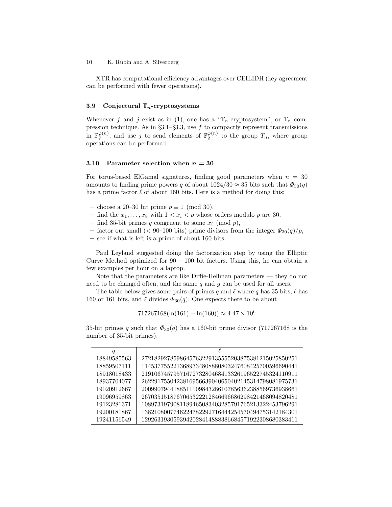XTR has computational efficiency advantages over CEILIDH (key agreement can be performed with fewer operations).

### 3.9 Conjectural  $\mathbb{T}_n$ -cryptosystems

Whenever f and j exist as in (1), one has a " $\mathbb{T}_n$ -cryptosystem", or  $\mathbb{T}_n$  compression technique. As in  $\S 3.1-\S 3.3$ , use f to compactly represent transmissions in  $\mathbb{F}_q^{\varphi(n)}$ , and use j to send elements of  $\mathbb{F}_q^{\varphi(n)}$  to the group  $T_n$ , where group operations can be performed.

#### 3.10 Parameter selection when  $n = 30$

For torus-based ElGamal signatures, finding good parameters when  $n = 30$ amounts to finding prime powers q of about  $1024/30 \approx 35$  bits such that  $\Phi_{30}(q)$ has a prime factor  $\ell$  of about 160 bits. Here is a method for doing this:

- choose a 20–30 bit prime p ≡ 1 (mod 30),
- find the  $x_1, \ldots, x_8$  with  $1 < x_i < p$  whose orders modulo p are 30,
- find 35-bit primes q congruent to some  $x_i \pmod{p}$ ,
- factor out small (< 90–100 bits) prime divisors from the integer  $\Phi_{30}(q)/p$ ,
- see if what is left is a prime of about 160-bits.

Paul Leyland suggested doing the factorization step by using the Elliptic Curve Method optimized for  $90 - 100$  bit factors. Using this, he can obtain a few examples per hour on a laptop.

Note that the parameters are like Diffie-Hellman parameters — they do not need to be changed often, and the same  $q$  and  $q$  can be used for all users.

The table below gives some pairs of primes q and  $\ell$  where q has 35 bits,  $\ell$  has 160 or 161 bits, and  $\ell$  divides  $\Phi_{30}(q)$ . One expects there to be about

$$
717267168(\ln(161) - \ln(160)) \approx 4.47 \times 10^6
$$

35-bit primes q such that  $\Phi_{30}(q)$  has a 160-bit prime divisor (717267168 is the number of 35-bit primes).

| q           |                                                   |
|-------------|---------------------------------------------------|
| 18849585563 | 2721829278598645763229135555203875381215025850251 |
| 18859507111 | 1145377552213689334808880803247608425700596690441 |
| 18918018433 | 2191067457957167273280468413326196522745324110911 |
| 18937704077 | 2622917550423816956639040650402145314798081975731 |
| 19020912667 | 2009907944188511109843286107856362388569736938661 |
| 19096959863 | 2670351518767065322212846696686298421468094820481 |
| 19123281371 | 1089731979081189465083403285791765213322453796291 |
| 19200181867 | 1382108007746224782292716444254570494753142184301 |
| 19241156549 | 1292631930593942028414888386684571922308680383411 |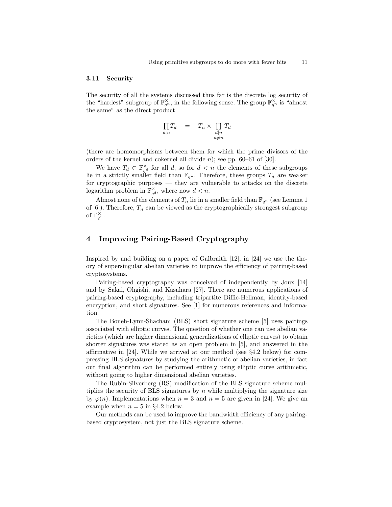#### 3.11 Security

The security of all the systems discussed thus far is the discrete log security of the "hardest" subgroup of  $\mathbb{F}_{q^n}^{\times}$ , in the following sense. The group  $\mathbb{F}_{q^n}^{\times}$  is "almost" the same" as the direct product

$$
\prod_{d|n} T_d = T_n \times \prod_{\substack{d|n \\ d \neq n}} T_d
$$

(there are homomorphisms between them for which the prime divisors of the orders of the kernel and cokernel all divide  $n$ ); see pp. 60–61 of [30].

We have  $T_d \subset \mathbb{F}_{q^d}^{\times}$  for all d, so for  $d < n$  the elements of these subgroups lie in a strictly smaller field than  $\mathbb{F}_{q^n}$ . Therefore, these groups  $T_d$  are weaker for cryptographic purposes — they are vulnerable to attacks on the discrete logarithm problem in  $\mathbb{F}_{q^d}^{\times}$ , where now  $d < n$ .

Almost none of the elements of  $T_n$  lie in a smaller field than  $\mathbb{F}_{q^n}$  (see Lemma 1) of  $[6]$ ). Therefore,  $T_n$  can be viewed as the cryptographically strongest subgroup of  $\mathbb{F}_{q^n}^{\times}$ .

# 4 Improving Pairing-Based Cryptography

Inspired by and building on a paper of Galbraith [12], in [24] we use the theory of supersingular abelian varieties to improve the efficiency of pairing-based cryptosystems.

Pairing-based cryptography was conceived of independently by Joux [14] and by Sakai, Ohgishi, and Kasahara [27]. There are numerous applications of pairing-based cryptography, including tripartite Diffie-Hellman, identity-based encryption, and short signatures. See [1] for numerous references and information.

The Boneh-Lynn-Shacham (BLS) short signature scheme [5] uses pairings associated with elliptic curves. The question of whether one can use abelian varieties (which are higher dimensional generalizations of elliptic curves) to obtain shorter signatures was stated as an open problem in [5], and answered in the affirmative in [24]. While we arrived at our method (see §4.2 below) for compressing BLS signatures by studying the arithmetic of abelian varieties, in fact our final algorithm can be performed entirely using elliptic curve arithmetic, without going to higher dimensional abelian varieties.

The Rubin-Silverberg (RS) modification of the BLS signature scheme multiplies the security of BLS signatures by  $n$  while multiplying the signature size by  $\varphi(n)$ . Implementations when  $n = 3$  and  $n = 5$  are given in [24]. We give an example when  $n = 5$  in §4.2 below.

Our methods can be used to improve the bandwidth efficiency of any pairingbased cryptosystem, not just the BLS signature scheme.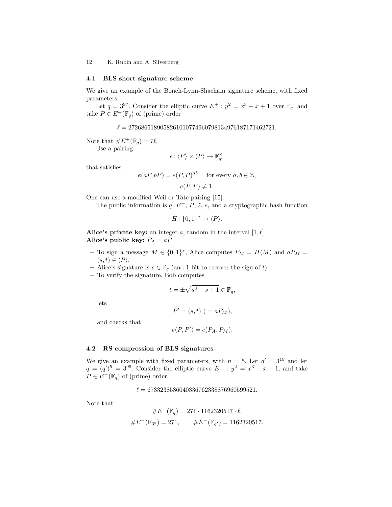#### 4.1 BLS short signature scheme

We give an example of the Boneh-Lynn-Shacham signature scheme, with fixed parameters.

Let  $q = 3^{97}$ . Consider the elliptic curve  $E^+ : y^2 = x^3 - x + 1$  over  $\mathbb{F}_q$ , and take  $P \in E^+(\mathbb{F}_q)$  of (prime) order

 $\ell = 2726865189058261010774960798134976187171462721.$ 

Note that  $\#E^+(\mathbb{F}_q) = 7\ell$ .

Use a pairing

$$
e\colon \langle P\rangle \times \langle P\rangle \to \mathbb{F}_{q^6}^\times
$$

that satisfies

$$
e(aP, bP) = e(P, P)^{ab} \quad \text{for every } a, b \in \mathbb{Z},
$$
  

$$
e(P, P) \neq 1.
$$

One can use a modified Weil or Tate pairing [15].

The public information is q,  $E^+$ , P,  $\ell$ , e, and a cryptographic hash function

$$
H\colon \{0,1\}^* \to \langle P \rangle.
$$

Alice's private key: an integer a, random in the interval  $[1, \ell]$ Alice's public key:  $P_A = aP$ 

- To sign a message  $M \in \{0,1\}^*$ , Alice computes  $P_M = H(M)$  and  $aP_M =$  $(s, t) \in \langle P \rangle$ .
- Alice's signature is  $s \in \mathbb{F}_q$  (and 1 bit to recover the sign of t).
- To verify the signature, Bob computes

$$
t = \pm \sqrt{s^3 - s + 1} \in \mathbb{F}_q,
$$

lets

$$
P' = (s, t) \ ( = aP_M),
$$

and checks that

$$
e(P, P') = e(P_A, P_M).
$$

# 4.2 RS compression of BLS signatures

We give an example with fixed parameters, with  $n = 5$ . Let  $q' = 3^{19}$  and let  $q = (q')^5 = 3^{95}$ . Consider the elliptic curve  $E^- : y^2 = x^3 - x - 1$ , and take  $P \in E^-(\mathbb{F}_q)$  of (prime) order

 $\ell = 6733238586040336762338876960599521.$ 

Note that

$$
#E^{-}(\mathbb{F}_{q}) = 271 \cdot 1162320517 \cdot \ell,
$$
  

$$
#E^{-}(\mathbb{F}_{3^{5}}) = 271, \qquad #E^{-}(\mathbb{F}_{q'}) = 1162320517.
$$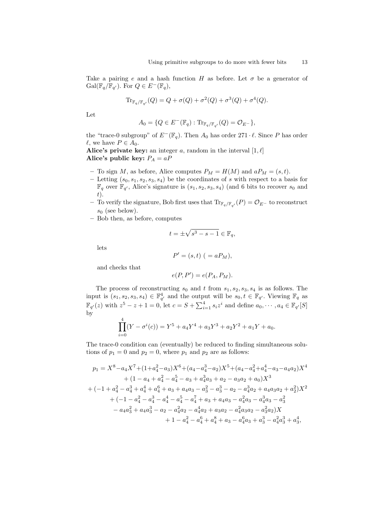Take a pairing e and a hash function H as before. Let  $\sigma$  be a generator of  $Gal(\mathbb{F}_q/\mathbb{F}_{q'})$ . For  $Q \in E^-(\mathbb{F}_q)$ ,

$$
\operatorname{Tr}_{\mathbb{F}_q/\mathbb{F}_{q'}}(Q) = Q + \sigma(Q) + \sigma^2(Q) + \sigma^3(Q) + \sigma^4(Q).
$$

Let

$$
A_0 = \{Q \in E^-(\mathbb{F}_q) : \mathrm{Tr}_{\mathbb{F}_q/\mathbb{F}_{q'}}(Q) = \mathcal{O}_{E^-}\},\
$$

the "trace-0 subgroup" of  $E^{-}(\mathbb{F}_q)$ . Then  $A_0$  has order 271 ·  $\ell$ . Since P has order  $\ell$ , we have  $P \in A_0$ .

Alice's private key: an integer a, random in the interval  $[1, \ell]$ Alice's public key:  $P_A = aP$ 

- To sign M, as before, Alice computes  $P_M = H(M)$  and  $aP_M = (s, t)$ .
- Letting  $(s_0, s_1, s_2, s_3, s_4)$  be the coordinates of s with respect to a basis for  $\mathbb{F}_q$  over  $\mathbb{F}_{q'}$ , Alice's signature is  $(s_1, s_2, s_3, s_4)$  (and 6 bits to recover  $s_0$  and  $t$ ).
- − To verify the signature, Bob first uses that  $\text{Tr}_{\mathbb{F}_q/\mathbb{F}_{q'}}(P) = \mathcal{O}_{E^-}$  to reconstruct  $s_0$  (see below).
- Bob then, as before, computes

$$
t=\pm\sqrt{s^3-s-1}\in\mathbb{F}_q,
$$

lets

$$
P' = (s, t) \ ( = aP_M),
$$

and checks that

$$
e(P, P') = e(P_A, P_M).
$$

The process of reconstructing  $s_0$  and t from  $s_1, s_2, s_3, s_4$  is as follows. The input is  $(s_1, s_2, s_3, s_4) \in \mathbb{F}_{q'}^4$  and the output will be  $s_0, t \in \mathbb{F}_{q'}$ . Viewing  $\mathbb{F}_q$  as  $\mathbb{F}_{q'}(z)$  with  $z^5 - z + 1 = 0$ , let  $c = S + \sum_{i=1}^4 s_i z^i$  and define  $a_0, \dots, a_4 \in \mathbb{F}_{q'}[S]$ by

$$
\prod_{i=0}^{4} (Y - \sigma^{i}(c)) = Y^{5} + a_{4}Y^{4} + a_{3}Y^{3} + a_{2}Y^{2} + a_{1}Y + a_{0}.
$$

The trace-0 condition can (eventually) be reduced to finding simultaneous solutions of  $p_1 = 0$  and  $p_2 = 0$ , where  $p_1$  and  $p_2$  are as follows:

$$
p_1 = X^8 - a_4X^7 + (1+a_4^2 - a_3)X^6 + (a_4 - a_4^3 - a_2)X^5 + (a_4 - a_4^2 + a_4^4 - a_3 - a_4a_2)X^4
$$
  
+ 
$$
(1 - a_4 + a_4^2 - a_4^5 - a_3 + a_4^3a_3 + a_2 - a_3a_2 + a_0)X^3
$$
  
+ 
$$
(-1 + a_4^2 - a_4^3 + a_4^4 + a_4^6 + a_3 + a_4a_3 - a_3^2 - a_3^3 - a_2 - a_4^3a_2 + a_4a_3a_2 + a_2^2)X^2
$$
  
+ 
$$
(-1 - a_4^2 - a_4^3 - a_4^4 - a_4^5 - a_4^7 + a_3 + a_4a_3 - a_4^2a_3 - a_4^3a_3 - a_3^2
$$
  
- 
$$
a_4a_3^2 + a_4a_3^3 - a_2 - a_4^2a_2 - a_4^4a_2 + a_3a_2 - a_4^2a_3a_2 - a_3^2a_2)X
$$
  
+ 
$$
1 - a_4^2 - a_4^6 + a_4^8 + a_3 - a_4^6a_3 + a_3^3 - a_4^2a_3^3 + a_3^4,
$$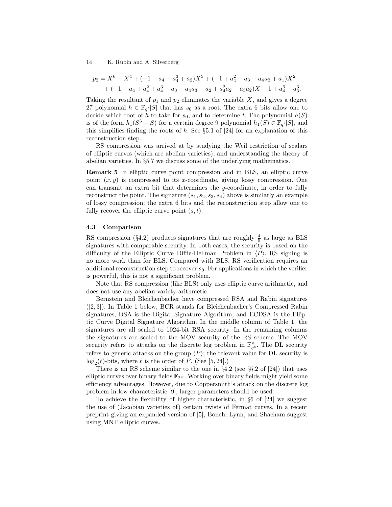$$
p_2 = X^6 - X^4 + (-1 - a_4 - a_4^3 + a_2)X^3 + (-1 + a_4^2 - a_3 - a_4a_2 + a_1)X^2
$$
  
+ 
$$
(-1 - a_4 + a_4^2 + a_4^3 - a_3 - a_4a_3 - a_2 + a_4^2a_2 - a_3a_2)X - 1 + a_4^6 - a_3^3.
$$

Taking the resultant of  $p_1$  and  $p_2$  eliminates the variable  $X$ , and gives a degree 27 polynomial  $h \in \mathbb{F}_{q'}[S]$  that has  $s_0$  as a root. The extra 6 bits allow one to decide which root of h to take for  $s_0$ , and to determine t. The polynomial  $h(S)$ is of the form  $h_1(S^3 - S)$  for a certain degree 9 polynomial  $h_1(S) \in \mathbb{F}_{q'}[S]$ , and this simplifies finding the roots of  $h$ . See §5.1 of [24] for an explanation of this reconstruction step.

RS compression was arrived at by studying the Weil restriction of scalars of elliptic curves (which are abelian varieties), and understanding the theory of abelian varieties. In §5.7 we discuss some of the underlying mathematics.

Remark 5 In elliptic curve point compression and in BLS, an elliptic curve point  $(x, y)$  is compressed to its x-coordinate, giving lossy compression. One can transmit an extra bit that determines the  $y$ -coordinate, in order to fully reconstruct the point. The signature  $(s_1, s_2, s_3, s_4)$  above is similarly an example of lossy compression; the extra 6 bits and the reconstruction step allow one to fully recover the elliptic curve point  $(s, t)$ .

#### 4.3 Comparison

RS compression (§4.2) produces signatures that are roughly  $\frac{4}{5}$  as large as BLS signatures with comparable security. In both cases, the security is based on the difficulty of the Elliptic Curve Diffie-Hellman Problem in  $\langle P \rangle$ . RS signing is no more work than for BLS. Compared with BLS, RS verification requires an additional reconstruction step to recover  $s_0$ . For applications in which the verifier is powerful, this is not a significant problem.

Note that RS compression (like BLS) only uses elliptic curve arithmetic, and does not use any abelian variety arithmetic.

Bernstein and Bleichenbacher have compressed RSA and Rabin signatures ([2, 3]). In Table 1 below, BCR stands for Bleichenbacher's Compressed Rabin signatures, DSA is the Digital Signature Algorithm, and ECDSA is the Elliptic Curve Digital Signature Algorithm. In the middle column of Table 1, the signatures are all scaled to 1024-bit RSA security. In the remaining columns the signatures are scaled to the MOV security of the RS scheme. The MOV security refers to attacks on the discrete log problem in  $\mathbb{F}_{q^6}^{\times}$ . The DL security refers to generic attacks on the group  $\langle P \rangle$ ; the relevant value for DL security is  $\log_2(\ell)$ -bits, where  $\ell$  is the order of P. (See [5, 24].)

There is an RS scheme similar to the one in  $\S 4.2$  (see  $\S 5.2$  of [24]) that uses elliptic curves over binary fields  $\mathbb{F}_{2^w}$ . Working over binary fields might yield some efficiency advantages. However, due to Coppersmith's attack on the discrete log problem in low characteristic [9], larger parameters should be used.

To achieve the flexibility of higher characteristic, in §6 of [24] we suggest the use of (Jacobian varieties of) certain twists of Fermat curves. In a recent preprint giving an expanded version of [5], Boneh, Lynn, and Shacham suggest using MNT elliptic curves.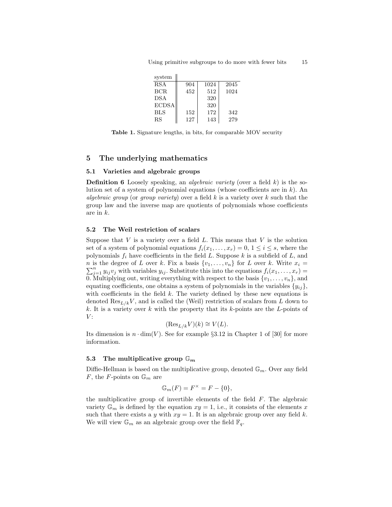Using primitive subgroups to do more with fewer bits 15

| system       |     |      |      |
|--------------|-----|------|------|
| <b>RSA</b>   | 904 | 1024 | 2045 |
| BCR.         | 452 | 512  | 1024 |
| <b>DSA</b>   |     | 320  |      |
| <b>ECDSA</b> |     | 320  |      |
| <b>BLS</b>   | 152 | 172  | 342  |
| RS           | 127 | 143  | 279  |

Table 1. Signature lengths, in bits, for comparable MOV security

# 5 The underlying mathematics

### 5.1 Varieties and algebraic groups

**Definition 6** Loosely speaking, an *algebraic variety* (over a field  $k$ ) is the solution set of a system of polynomial equations (whose coefficients are in  $k$ ). An algebraic group (or group variety) over a field  $k$  is a variety over  $k$  such that the group law and the inverse map are quotients of polynomials whose coefficients are in k.

### 5.2 The Weil restriction of scalars

Suppose that  $V$  is a variety over a field  $L$ . This means that  $V$  is the solution set of a system of polynomial equations  $f_i(x_1, \ldots, x_r) = 0, 1 \leq i \leq s$ , where the polynomials  $f_i$  have coefficients in the field L. Suppose  $k$  is a subfield of L, and *n* is the degree of L over k. Fix a basis  $\{v_1, \ldots, v_n\}$  for L over k. Write  $x_i =$  $\sum_{j=1}^{n} y_{ij}v_j$  with variables  $y_{ij}$ . Substitute this into the equations  $f_i(x_1, \ldots, x_r)$ 0. Multiplying out, writing everything with respect to the basis  $\{v_1, \ldots, v_n\}$ , and equating coefficients, one obtains a system of polynomials in the variables  $\{y_{ij}\},\$ with coefficients in the field  $k$ . The variety defined by these new equations is denoted  $\text{Res}_{L/k}V$ , and is called the (Weil) restriction of scalars from L down to k. It is a variety over  $k$  with the property that its  $k$ -points are the  $L$ -points of  $V:$ 

$$
(\operatorname{Res}_{L/k} V)(k) \cong V(L).
$$

Its dimension is  $n \cdot \dim(V)$ . See for example §3.12 in Chapter 1 of [30] for more information.

# 5.3 The multiplicative group  $\mathbb{G}_m$

Diffie-Hellman is based on the multiplicative group, denoted  $\mathbb{G}_m$ . Over any field F, the F-points on  $\mathbb{G}_m$  are

$$
\mathbb{G}_m(F) = F^\times = F - \{0\},\
$$

the multiplicative group of invertible elements of the field  $F$ . The algebraic variety  $\mathbb{G}_m$  is defined by the equation  $xy = 1$ , i.e., it consists of the elements x such that there exists a y with  $xy = 1$ . It is an algebraic group over any field k. We will view  $\mathbb{G}_m$  as an algebraic group over the field  $\mathbb{F}_q$ .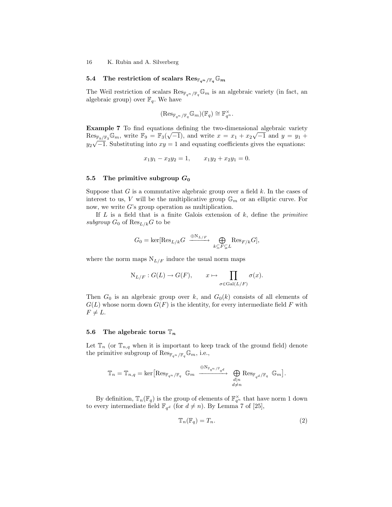### 5.4 The restriction of scalars  $\text{Res}_{\mathbb{F}_{q^n}/\mathbb{F}_q} \mathbb{G}_m$

The Weil restriction of scalars  $\text{Res}_{\mathbb{F}_{q^n}/\mathbb{F}_q} \mathbb{G}_m$  is an algebraic variety (in fact, an algebraic group) over  $\mathbb{F}_q$ . We have

$$
(\mathrm{Res}_{\mathbb{F}_{q^n}/\mathbb{F}_q} \mathbb{G}_m)(\mathbb{F}_q) \cong \mathbb{F}_{q^n}^{\times}.
$$

Example 7 To find equations defining the two-dimensional algebraic variety  $\text{Res}_{\mathbb{F}_9/\mathbb{F}_3\mathbb{G}_m}$ , write  $\mathbb{F}_9 = \mathbb{F}_3(\sqrt{-1})$ , and write  $x = x_1 + x_2\sqrt{-1}$  and  $y = y_1 +$  $y_2\sqrt{-1}$ . Substituting into  $xy = 1$  and equating coefficients gives the equations:

$$
x_1y_1 - x_2y_2 = 1, \qquad x_1y_2 + x_2y_1 = 0.
$$

### 5.5 The primitive subgroup  $G_0$

Suppose that  $G$  is a commutative algebraic group over a field  $k$ . In the cases of interest to us, V will be the multiplicative group  $\mathbb{G}_m$  or an elliptic curve. For now, we write  $G$ 's group operation as multiplication.

If  $L$  is a field that is a finite Galois extension of  $k$ , define the *primitive* subgroup  $G_0$  of  $\text{Res}_{L/k}G$  to be

$$
G_0 = \ker[\text{Res}_{L/k} G \xrightarrow{\oplus N_{L/F}} \bigoplus_{k \subseteq F \subsetneq L} \text{Res}_{F/k} G],
$$

where the norm maps  $N_{L/F}$  induce the usual norm maps

$$
N_{L/F}: G(L) \to G(F), \qquad x \mapsto \prod_{\sigma \in Gal(L/F)} \sigma(x).
$$

Then  $G_0$  is an algebraic group over k, and  $G_0(k)$  consists of all elements of  $G(L)$  whose norm down  $G(F)$  is the identity, for every intermediate field F with  $F \neq L$ .

#### 5.6 The algebraic torus  $\mathbb{T}_n$

Let  $\mathbb{T}_n$  (or  $\mathbb{T}_{n,q}$  when it is important to keep track of the ground field) denote the primitive subgroup of  $\text{Res}_{\mathbb{F}_{q^n}/\mathbb{F}_q}\mathbb{G}_m$ , i.e.,

$$
\mathbb{T}_n=\mathbb{T}_{n,q}=\ker\big[\mathrm{Res}_{\mathbb{F}_{q^n}/\mathbb{F}_q}\;\;\mathbb{G}_m\;\xrightarrow{\ \oplus\mathrm{N}_{\mathbb{F}_{q^n}/\mathbb{F}_{q}d}}\;\bigoplus_{\substack{d\mid n\\ d\neq n}}\mathrm{Res}_{\mathbb{F}_{q^d}/\mathbb{F}_q}\;\;\mathbb{G}_m\big].
$$

By definition,  $\mathbb{T}_n(\mathbb{F}_q)$  is the group of elements of  $\mathbb{F}_{q^n}^{\times}$  that have norm 1 down to every intermediate field  $\mathbb{F}_{q^d}$  (for  $d \neq n$ ). By Lemma 7 of [25],

$$
\mathbb{T}_n(\mathbb{F}_q) = T_n. \tag{2}
$$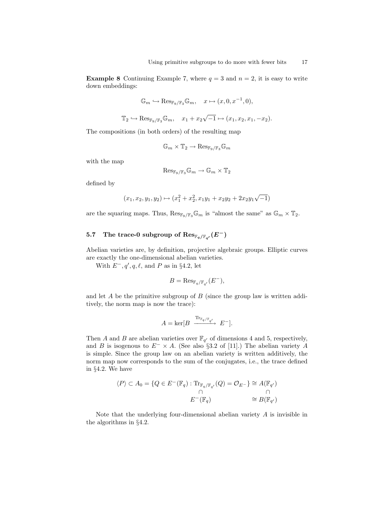**Example 8** Continuing Example 7, where  $q = 3$  and  $n = 2$ , it is easy to write down embeddings:

$$
\mathbb{G}_m \hookrightarrow \mathrm{Res}_{\mathbb{F}_9/\mathbb{F}_3} \mathbb{G}_m, \quad x \mapsto (x, 0, x^{-1}, 0),
$$

$$
\mathbb{T}_2 \hookrightarrow \operatorname{Res}_{\mathbb{F}_9/\mathbb{F}_3} \mathbb{G}_m, \quad x_1 + x_2 \sqrt{-1} \mapsto (x_1, x_2, x_1, -x_2).
$$

The compositions (in both orders) of the resulting map

$$
\mathbb{G}_m \times \mathbb{T}_2 \to \mathrm{Res}_{\mathbb{F}_9/\mathbb{F}_3} \mathbb{G}_m
$$

with the map

$$
\mathrm{Res}_{\mathbb{F}_9/\mathbb{F}_3}\mathbb{G}_m\to \mathbb{G}_m\times \mathbb{T}_2
$$

defined by

$$
(x_1, x_2, y_1, y_2) \mapsto (x_1^2 + x_2^2, x_1y_1 + x_2y_2 + 2x_2y_1\sqrt{-1})
$$

are the squaring maps. Thus,  $\text{Res}_{\mathbb{F}_9/\mathbb{F}_3}\mathbb{G}_m$  is "almost the same" as  $\mathbb{G}_m \times \mathbb{T}_2$ .

# 5.7 The trace-0 subgroup of  $\mathrm{Res}_{\mathbb{F}_q/\mathbb{F}_{q'}}(E^-)$

Abelian varieties are, by definition, projective algebraic groups. Elliptic curves are exactly the one-dimensional abelian varieties.

With  $E^-, q', q, \ell$ , and P as in §4.2, let

$$
B = \text{Res}_{\mathbb{F}_q/\mathbb{F}_{q'}}(E^-),
$$

and let  $A$  be the primitive subgroup of  $B$  (since the group law is written additively, the norm map is now the trace):

$$
A = \ker[B \xrightarrow{\mathrm{Tr}_{\mathbb{F}_q/\mathbb{F}_{q'}}} E^-].
$$

Then A and B are abelian varieties over  $\mathbb{F}_{q'}$  of dimensions 4 and 5, respectively, and B is isogenous to  $E^- \times A$ . (See also §3.2 of [11].) The abelian variety A is simple. Since the group law on an abelian variety is written additively, the norm map now corresponds to the sum of the conjugates, i.e., the trace defined in §4.2. We have

$$
\langle P \rangle \subset A_0 = \{ Q \in E^-(\mathbb{F}_q) : \text{Tr}_{\mathbb{F}_q/\mathbb{F}_{q'}}(Q) = \mathcal{O}_{E^-} \} \cong A(\mathbb{F}_{q'})
$$
  

$$
\cap \qquad \cap
$$
  

$$
E^-(\mathbb{F}_q) \cong B(\mathbb{F}_{q'})
$$

Note that the underlying four-dimensional abelian variety A is invisible in the algorithms in §4.2.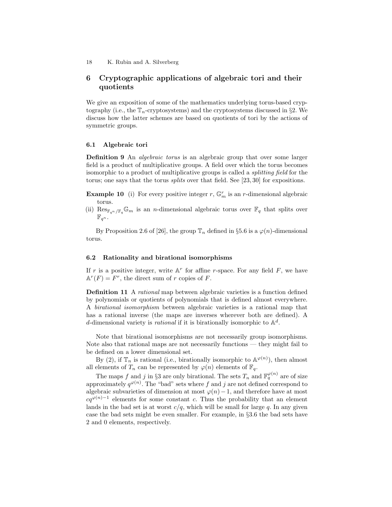# 6 Cryptographic applications of algebraic tori and their quotients

We give an exposition of some of the mathematics underlying torus-based cryptography (i.e., the  $\mathbb{T}_n$ -cryptosystems) and the cryptosystems discussed in §2. We discuss how the latter schemes are based on quotients of tori by the actions of symmetric groups.

# 6.1 Algebraic tori

Definition 9 An *algebraic torus* is an algebraic group that over some larger field is a product of multiplicative groups. A field over which the torus becomes isomorphic to a product of multiplicative groups is called a splitting field for the torus; one says that the torus splits over that field. See [23, 30] for expositions.

**Example 10** (i) For every positive integer r,  $\mathbb{G}_m^r$  is an r-dimensional algebraic torus.

(ii)  $\text{Res}_{\mathbb{F}_{q^n}/\mathbb{F}_q}\mathbb{G}_m$  is an *n*-dimensional algebraic torus over  $\mathbb{F}_q$  that splits over  $\mathbb{F}_{q^n}$ .

By Proposition 2.6 of [26], the group  $\mathbb{T}_n$  defined in §5.6 is a  $\varphi(n)$ -dimensional torus.

### 6.2 Rationality and birational isomorphisms

If r is a positive integer, write  $A<sup>r</sup>$  for affine r-space. For any field F, we have  $\mathbb{A}^r(F) = F^r$ , the direct sum of r copies of F.

Definition 11 A rational map between algebraic varieties is a function defined by polynomials or quotients of polynomials that is defined almost everywhere. A birational isomorphism between algebraic varieties is a rational map that has a rational inverse (the maps are inverses wherever both are defined). A d-dimensional variety is *rational* if it is birationally isomorphic to  $\mathbb{A}^d$ .

Note that birational isomorphisms are not necessarily group isomorphisms. Note also that rational maps are not necessarily functions — they might fail to be defined on a lower dimensional set.

By (2), if  $\mathbb{T}_n$  is rational (i.e., birationally isomorphic to  $\mathbb{A}^{\varphi(n)}$ ), then almost all elements of  $T_n$  can be represented by  $\varphi(n)$  elements of  $\mathbb{F}_q$ .

The maps f and j in §3 are only birational. The sets  $T_n$  and  $\mathbb{F}_q^{\varphi(n)}$  are of size approximately  $q^{\varphi(n)}$ . The "bad" sets where f and j are not defined correspond to algebraic subvarieties of dimension at most  $\varphi(n)-1$ , and therefore have at most  $cq^{\varphi(n)-1}$  elements for some constant c. Thus the probability that an element lands in the bad set is at worst  $c/q$ , which will be small for large q. In any given case the bad sets might be even smaller. For example, in §3.6 the bad sets have 2 and 0 elements, respectively.

<sup>18</sup> K. Rubin and A. Silverberg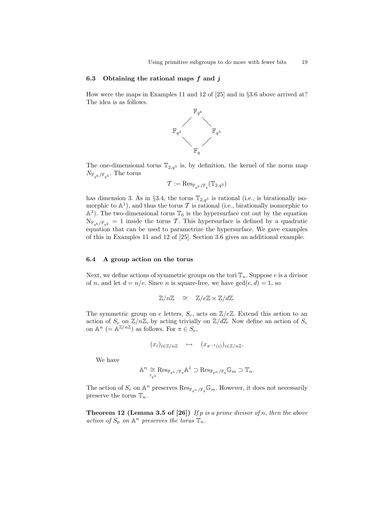### 6.3 Obtaining the rational maps  $f$  and  $j$

How were the maps in Examples 11 and 12 of [25] and in §3.6 above arrived at? The idea is as follows.



The one-dimensional torus  $\mathbb{T}_{2,q^3}$  is, by definition, the kernel of the norm map  $N_{\mathbb{F}_{q^6}/\mathbb{F}_{q^3}}$ . The torus

$$
\mathcal{T}:=\mathrm{Res}_{\mathbb{F}_{q^3}/\mathbb{F}_q}(\mathbb{T}_{2,q^3})
$$

has dimension 3. As in §3.4, the torus  $\mathbb{T}_{2,q^3}$  is rational (i.e., is birationally isomorphic to  $\mathbb{A}^1$ ), and thus the torus T is rational (i.e., birationally isomorphic to  $\mathbb{A}^3$ ). The two-dimensional torus  $\mathbb{T}_6$  is the hypersurface cut out by the equation  $N_{\mathbb{F}_{q^6}/\mathbb{F}_{q^2}} = 1$  inside the torus T. This hypersurface is defined by a quadratic equation that can be used to parametrize the hypersurface. We gave examples of this in Examples 11 and 12 of [25]. Section 3.6 gives an additional example.

### 6.4 A group action on the torus

Next, we define actions of symmetric groups on the tori  $\mathbb{T}_n$ . Suppose e is a divisor of n, and let  $d = n/e$ . Since n is square-free, we have  $gcd(e, d) = 1$ , so

$$
\mathbb{Z}/n\mathbb{Z} \quad \cong \quad \mathbb{Z}/e\mathbb{Z} \times \mathbb{Z}/d\mathbb{Z}.
$$

The symmetric group on e letters,  $S_e$ , acts on  $\mathbb{Z}/e\mathbb{Z}$ . Extend this action to an action of  $S_e$  on  $\mathbb{Z}/n\mathbb{Z}$ , by acting trivially on  $\mathbb{Z}/d\mathbb{Z}$ . Now define an action of  $S_e$ on  $\mathbb{A}^n$  (=  $\mathbb{A}^{\mathbb{Z}/n\mathbb{Z}}$ ) as follows. For  $\pi \in S_e$ ,

$$
(x_i)_{i \in \mathbb{Z}/n\mathbb{Z}} \quad \mapsto \quad (x_{\pi^{-1}(i)})_{i \in \mathbb{Z}/n\mathbb{Z}}.
$$

We have

$$
\mathbb{A}^n \cong \underset{\mathbb{F}_{q^n}}{\simeq} \text{Res}_{\mathbb{F}_{q^n}/\mathbb{F}_q} \mathbb{A}^1 \supset \text{Res}_{\mathbb{F}_{q^n}/\mathbb{F}_q} \mathbb{G}_m \supset \mathbb{T}_n.
$$

The action of  $S_e$  on  $\mathbb{A}^n$  preserves  $\text{Res}_{\mathbb{F}_{q^n}/\mathbb{F}_q}\mathbb{G}_m$ . However, it does not necessarily preserve the torus  $\mathbb{T}_n$ .

**Theorem 12 (Lemma 3.5 of [26])** If p is a prime divisor of n, then the above action of  $S_p$  on  $\mathbb{A}^n$  preserves the torus  $\mathbb{T}_n$ .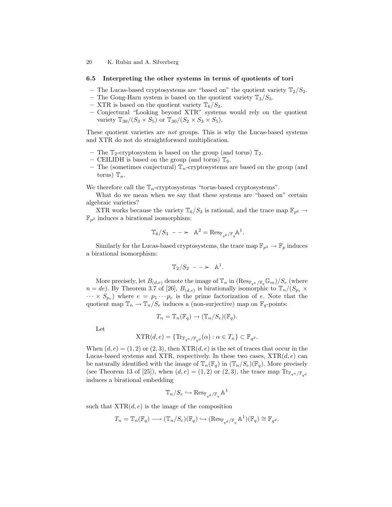#### 6.5 Interpreting the other systems in terms of quotients of tori

- The Lucas-based cryptosystems are "based on" the quotient variety  $\mathbb{T}_2/S_2$ .
- The Gong-Harn system is based on the quotient variety  $\mathbb{T}_3/S_3$ .
- XTR is based on the quotient variety  $\mathbb{T}_6/S_3$ .
- Conjectural "Looking beyond XTR" systems would rely on the quotient variety  $\mathbb{T}_{30}/(S_3 \times S_5)$  or  $\mathbb{T}_{30}/(S_2 \times S_3 \times S_5)$ .

These quotient varieties are *not* groups. This is why the Lucas-based systems and XTR do not do straightforward multiplication.

- The  $\mathbb{T}_2$ -cryptosystem is based on the group (and torus)  $\mathbb{T}_2$ .
- CEILIDH is based on the group (and torus)  $\mathbb{T}_6$ .
- The (sometimes conjectural)  $\mathbb{T}_n$ -cryptosystems are based on the group (and torus)  $\mathbb{T}_n$ .

We therefore call the  $\mathbb{T}_n$ -cryptosystems "torus-based cryptosystems".

What do we mean when we say that these systems are "based on" certain algebraic varieties?

XTR works because the variety  $\mathbb{T}_6/S_3$  is rational, and the trace map  $\mathbb{F}_{p^6} \to$  $\mathbb{F}_{n^2}$  induces a birational isomorphism:

$$
\mathbb{T}_6/S_3 \,\, \text{- -}\text{-} \quad \mathbb{A}^2 = \text{Res}_{\mathbb{F}_{q^2}/\mathbb{F}_q} \mathbb{A}^1.
$$

Similarly for the Lucas-based cryptosystems, the trace map  $\mathbb{F}_{p^2} \to \mathbb{F}_p$  induces a birational isomorphism:

$$
\mathbb{T}_2/S_2 - - \rightarrow \mathbb{A}^1.
$$

More precisely, let  $B_{(d,e)}$  denote the image of  $\mathbb{T}_n$  in  $(\text{Res}_{\mathbb{F}_{q^n}/\mathbb{F}_q}\mathbb{G}_m)/S_e$  (where  $n = de$ ). By Theorem 3.7 of [26],  $B_{(d,e)}$  is birationally isomorphic to  $\mathbb{T}_n/(S_{p_1} \times$  $\cdots \times S_{p_r}$  where  $e = p_1 \cdots p_r$  is the prime factorization of e. Note that the quotient map  $\mathbb{T}_n \to \mathbb{T}_n/S_e$  induces a (non-surjective) map on  $\mathbb{F}_q$ -points:

$$
T_n = \mathbb{T}_n(\mathbb{F}_q) \to (\mathbb{T}_n/S_e)(\mathbb{F}_q).
$$

Let

$$
\operatorname{XTR}(d, e) = \{ \operatorname{Tr}_{\mathbb{F}_{q^n}/\mathbb{F}_{q^d}}(\alpha) : \alpha \in T_n \} \subset \mathbb{F}_{q^d}.
$$

When  $(d, e) = (1, 2)$  or  $(2, 3)$ , then  $XTR(d, e)$  is the set of traces that occur in the Lucas-based systems and XTR, respectively. In these two cases,  $XTR(d, e)$  can be naturally identified with the image of  $\mathbb{T}_n(\mathbb{F}_q)$  in  $(\mathbb{T}_n/S_e)(\mathbb{F}_q)$ . More precisely (see Theorem 13 of [25]), when  $(d, e) = (1, 2)$  or  $(2, 3)$ , the trace map  $\text{Tr}_{\mathbb{F}_{q^n}/\mathbb{F}_{q^d}}$ induces a birational embedding

$$
\mathbb{T}_n/S_e\hookrightarrow \operatorname{Res}_{\mathbb{F}_{q^d}/\mathbb{F}_q}\mathbb{A}^1
$$

such that  $XTR(d, e)$  is the image of the composition

$$
T_n = \mathbb{T}_n(\mathbb{F}_q) \longrightarrow (\mathbb{T}_n/S_e)(\mathbb{F}_q) \hookrightarrow (\text{Res}_{\mathbb{F}_{q^d}/\mathbb{F}_q} \mathbb{A}^1)(\mathbb{F}_q) \cong \mathbb{F}_{q^d}.
$$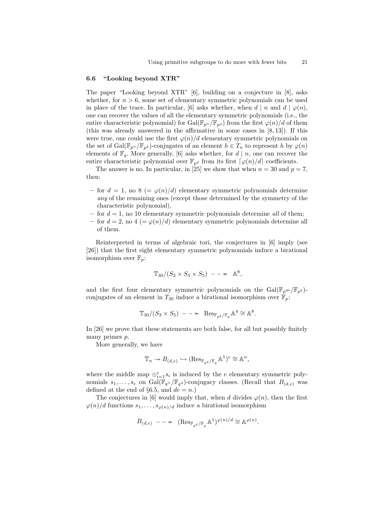### 6.6 "Looking beyond XTR"

The paper "Looking beyond XTR" [6], building on a conjecture in [8], asks whether, for  $n > 6$ , some set of elementary symmetric polynomials can be used in place of the trace. In particular, [6] asks whether, when d | n and d |  $\varphi(n)$ , one can recover the values of all the elementary symmetric polynomials (i.e., the entire characteristic polynomial) for Gal( $\mathbb{F}_{p^n}/\mathbb{F}_{p^d}$ ) from the first  $\varphi(n)/d$  of them (this was already answered in the affirmative in some cases in  $[8, 13]$ ). If this were true, one could use the first  $\varphi(n)/d$  elementary symmetric polynomials on the set of Gal( $\mathbb{F}_{p^n}/\mathbb{F}_{p^d}$ )-conjugates of an element  $h \in T_n$  to represent h by  $\varphi(n)$ elements of  $\mathbb{F}_q$ . More generally, [6] asks whether, for  $d | n$ , one can recover the entire characteristic polynomial over  $\mathbb{F}_{p^d}$  from its first  $\lceil \varphi(n)/d \rceil$  coefficients.

The answer is no. In particular, in [25] we show that when  $n = 30$  and  $p = 7$ , then:

- for  $d = 1$ , no  $8 = \varphi(n)/d$  elementary symmetric polynomials determine any of the remaining ones (except those determined by the symmetry of the characteristic polynomial),
- for  $d = 1$ , no 10 elementary symmetric polynomials determine all of them;
- for  $d = 2$ , no  $4 (= \varphi(n)/d)$  elementary symmetric polynomials determine all of them.

Reinterpreted in terms of algebraic tori, the conjectures in [6] imply (see [26]) that the first eight elementary symmetric polynomials induce a birational isomorphism over  $\mathbb{F}_p$ :

$$
\mathbb{T}_{30}/(S_2 \times S_3 \times S_5) \quad -\quad \approx \quad \mathbb{A}^8,
$$

and the first four elementary symmetric polynomials on the  $Gal(\mathbb{F}_{p^{30}}/\mathbb{F}_{p^2})$ conjugates of an element in  $T_{30}$  induce a birational isomorphism over  $\mathbb{F}_p$ .

$$
\mathbb{T}_{30}/(S_3 \times S_5) \quad -\quad \mathbb{R}\,\text{ess}_{\mathbb{F}_{p^2}/\mathbb{F}_p} \mathbb{A}^4 \cong \mathbb{A}^8.
$$

In [26] we prove that these statements are both false, for all but possibly finitely many primes p.

More generally, we have

$$
\mathbb{T}_n \to B_{(d,e)} \hookrightarrow (\operatorname{Res}_{\mathbb{F}_{q^d}/\mathbb{F}_q} \mathbb{A}^1)^e \cong \mathbb{A}^n,
$$

where the middle map  $\bigoplus_{i=1}^{e} s_i$  is induced by the e elementary symmetric polynomials  $s_1, \ldots, s_e$  on  $Gal(\bar{\mathbb{F}}_{q^n}/\mathbb{F}_{q^d})$ -conjugacy classes. (Recall that  $B_{(d,e)}$  was defined at the end of §6.5, and  $de = n$ .)

The conjectures in [6] would imply that, when d divides  $\varphi(n)$ , then the first  $\varphi(n)/d$  functions  $s_1, \ldots, s_{\varphi(n)/d}$  induce a birational isomorphism

$$
B_{(d,e)} - \longrightarrow (\operatorname{Res}_{\mathbb{F}_{q^d}/\mathbb{F}_q} \mathbb{A}^1)^{\varphi(n)/d} \cong \mathbb{A}^{\varphi(n)}.
$$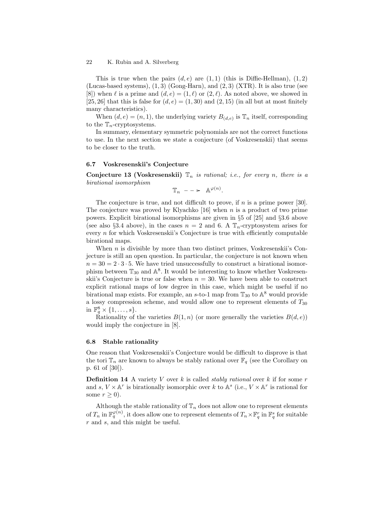This is true when the pairs  $(d, e)$  are  $(1, 1)$  (this is Diffie-Hellman),  $(1, 2)$ (Lucas-based systems),  $(1, 3)$  (Gong-Harn), and  $(2, 3)$  (XTR). It is also true (see [8]) when  $\ell$  is a prime and  $(d, e) = (1, \ell)$  or  $(2, \ell)$ . As noted above, we showed in [25, 26] that this is false for  $(d, e) = (1, 30)$  and  $(2, 15)$  (in all but at most finitely many characteristics).

When  $(d, e) = (n, 1)$ , the underlying variety  $B_{(d,e)}$  is  $\mathbb{T}_n$  itself, corresponding to the  $\mathbb{T}_n$ -cryptosystems.

In summary, elementary symmetric polynomials are not the correct functions to use. In the next section we state a conjecture (of Voskresenskii) that seems to be closer to the truth.

# 6.7 Voskresenskii's Conjecture

Conjecture 13 (Voskresenskii)  $\mathbb{T}_n$  is rational; i.e., for every n, there is a birational isomorphism

 $\mathbb{T}_n$  -  $\Rightarrow$   $\mathbb{A}^{\varphi(n)}$ .

The conjecture is true, and not difficult to prove, if  $n$  is a prime power [30]. The conjecture was proved by Klyachko  $[16]$  when n is a product of two prime powers. Explicit birational isomorphisms are given in §5 of [25] and §3.6 above (see also §3.4 above), in the cases  $n = 2$  and 6. A  $\mathbb{T}_n$ -cryptosystem arises for every  $n$  for which Voskresenskii's Conjecture is true with efficiently computable birational maps.

When  $n$  is divisible by more than two distinct primes, Voskresenskii's Conjecture is still an open question. In particular, the conjecture is not known when  $n = 30 = 2 \cdot 3 \cdot 5$ . We have tried unsuccessfully to construct a birational isomorphism between  $\mathbb{T}_{30}$  and  $\mathbb{A}^8$ . It would be interesting to know whether Voskresenskii's Conjecture is true or false when  $n = 30$ . We have been able to construct explicit rational maps of low degree in this case, which might be useful if no birational map exists. For example, an s-to-1 map from  $\mathbb{T}_{30}$  to  $\mathbb{A}^8$  would provide a lossy compression scheme, and would allow one to represent elements of  $T_{30}$ in  $\mathbb{F}_q^8 \times \{1, \ldots, s\}.$ 

Rationality of the varieties  $B(1, n)$  (or more generally the varieties  $B(d, e)$ ) would imply the conjecture in [8].

#### 6.8 Stable rationality

One reason that Voskresenskii's Conjecture would be difficult to disprove is that the tori  $\mathbb{T}_n$  are known to always be stably rational over  $\mathbb{F}_q$  (see the Corollary on p. 61 of [30]).

**Definition 14** A variety V over k is called *stably rational* over k if for some  $r$ and s,  $V \times \mathbb{A}^r$  is birationally isomorphic over k to  $\mathbb{A}^s$  (i.e.,  $V \times \mathbb{A}^r$  is rational for some  $r \geq 0$ ).

Although the stable rationality of  $\mathbb{T}_n$  does not allow one to represent elements of  $T_n$  in  $\mathbb{F}_q^{\varphi(n)}$ , it does allow one to represent elements of  $T_n \times \mathbb{F}_q^r$  in  $\mathbb{F}_q^s$  for suitable r and s, and this might be useful.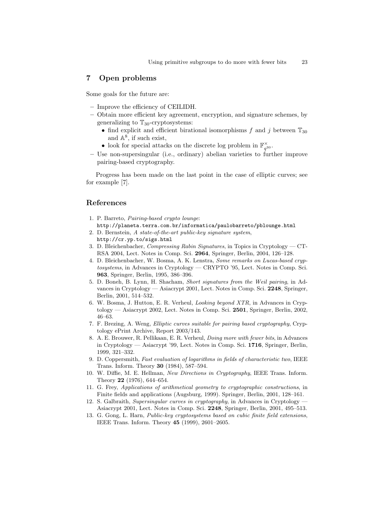# 7 Open problems

Some goals for the future are:

- Improve the efficiency of CEILIDH.
- Obtain more efficient key agreement, encryption, and signature schemes, by generalizing to  $\mathbb{T}_{30}$ -cryptosystems:
	- find explicit and efficient birational isomorphisms f and j between  $\mathbb{T}_{30}$ and  $\mathbb{A}^8$ , if such exist,
	- look for special attacks on the discrete log problem in  $\mathbb{F}_{q^{30}}^{\times}$ .
- Use non-supersingular (i.e., ordinary) abelian varieties to further improve pairing-based cryptography.

Progress has been made on the last point in the case of elliptic curves; see for example [7].

# References

- 1. P. Barreto, Pairing-based crypto lounge: http://planeta.terra.com.br/informatica/paulobarreto/pblounge.html
- 2. D. Bernstein, A state-of-the-art public-key signature system, http://cr.yp.to/sigs.html
- 3. D. Bleichenbacher, Compressing Rabin Signatures, in Topics in Cryptology CT-RSA 2004, Lect. Notes in Comp. Sci. 2964, Springer, Berlin, 2004, 126–128.
- 4. D. Bleichenbacher, W. Bosma, A. K. Lenstra, Some remarks on Lucas-based cryptosystems, in Advances in Cryptology — CRYPTO '95, Lect. Notes in Comp. Sci. 963, Springer, Berlin, 1995, 386–396.
- 5. D. Boneh, B. Lynn, H. Shacham, Short signatures from the Weil pairing, in Advances in Cryptology — Asiacrypt 2001, Lect. Notes in Comp. Sci. 2248, Springer, Berlin, 2001, 514–532.
- 6. W. Bosma, J. Hutton, E. R. Verheul, Looking beyond XTR, in Advances in Cryptology — Asiacrypt 2002, Lect. Notes in Comp. Sci. 2501, Springer, Berlin, 2002, 46–63.
- 7. F. Brezing, A. Weng, Elliptic curves suitable for pairing based cryptography, Cryptology ePrint Archive, Report 2003/143.
- 8. A. E. Brouwer, R. Pellikaan, E. R. Verheul, Doing more with fewer bits, in Advances in Cryptology — Asiacrypt '99, Lect. Notes in Comp. Sci. 1716, Springer, Berlin, 1999, 321–332.
- 9. D. Coppersmith, Fast evaluation of logarithms in fields of characteristic two, IEEE Trans. Inform. Theory 30 (1984), 587–594.
- 10. W. Diffie, M. E. Hellman, New Directions in Cryptography, IEEE Trans. Inform. Theory 22 (1976), 644–654.
- 11. G. Frey, Applications of arithmetical geometry to cryptographic constructions, in Finite fields and applications (Augsburg, 1999). Springer, Berlin, 2001, 128–161.
- 12. S. Galbraith, Supersingular curves in cryptography, in Advances in Cryptology Asiacrypt 2001, Lect. Notes in Comp. Sci. 2248, Springer, Berlin, 2001, 495–513.
- 13. G. Gong, L. Harn, Public-key cryptosystems based on cubic finite field extensions, IEEE Trans. Inform. Theory 45 (1999), 2601–2605.